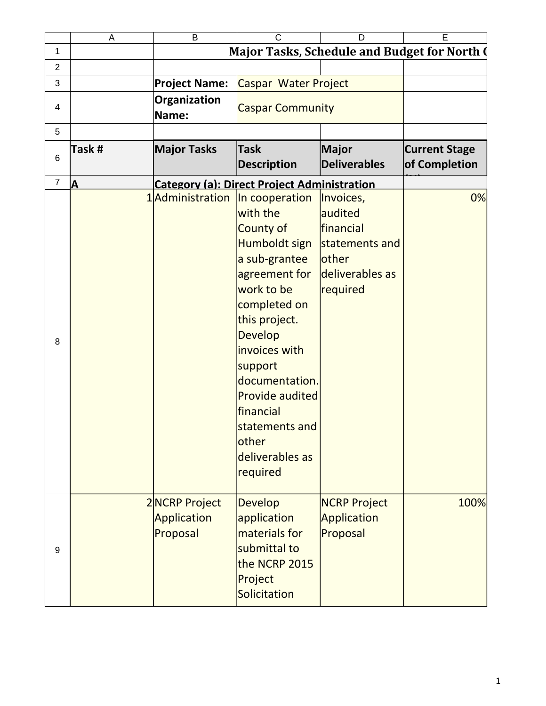|                | A      | B                                        | $\mathsf{C}$                                                                                                                                                                                                                                                                                                                 | D                                                                                                  | E                                            |
|----------------|--------|------------------------------------------|------------------------------------------------------------------------------------------------------------------------------------------------------------------------------------------------------------------------------------------------------------------------------------------------------------------------------|----------------------------------------------------------------------------------------------------|----------------------------------------------|
| $\mathbf{1}$   |        |                                          |                                                                                                                                                                                                                                                                                                                              |                                                                                                    | Major Tasks, Schedule and Budget for North ( |
| $\overline{c}$ |        |                                          |                                                                                                                                                                                                                                                                                                                              |                                                                                                    |                                              |
| 3              |        | <b>Project Name:</b>                     | Caspar Water Project                                                                                                                                                                                                                                                                                                         |                                                                                                    |                                              |
| 4              |        | Organization<br>Name:                    | <b>Caspar Community</b>                                                                                                                                                                                                                                                                                                      |                                                                                                    |                                              |
| 5              |        |                                          |                                                                                                                                                                                                                                                                                                                              |                                                                                                    |                                              |
| $\,6\,$        | Task # | <b>Major Tasks</b>                       | <b>Task</b><br><b>Description</b>                                                                                                                                                                                                                                                                                            | Major<br><b>Deliverables</b>                                                                       | <b>Current Stage</b><br>of Completion        |
| $\overline{7}$ | ΙA     |                                          | <b>Category (a): Direct Project Administration</b>                                                                                                                                                                                                                                                                           |                                                                                                    |                                              |
| 8              |        |                                          | 1Administration  In cooperation<br>with the<br>County of<br>Humboldt sign<br>a sub-grantee<br>agreement for<br>work to be<br>completed on<br>this project.<br>Develop<br>invoices with<br>support<br>documentation.<br><b>Provide audited</b><br>financial<br>statements and<br><b>lother</b><br>deliverables as<br>required | Invoices,<br>audited<br>financial<br>statements and<br><b>other</b><br>deliverables as<br>required | 0%                                           |
| 9              |        | 2NCRP Project<br>Application<br>Proposal | Develop<br>application<br>materials for<br>submittal to<br>the NCRP 2015<br>Project<br>Solicitation                                                                                                                                                                                                                          | <b>NCRP Project</b><br>Application<br>Proposal                                                     | 100%                                         |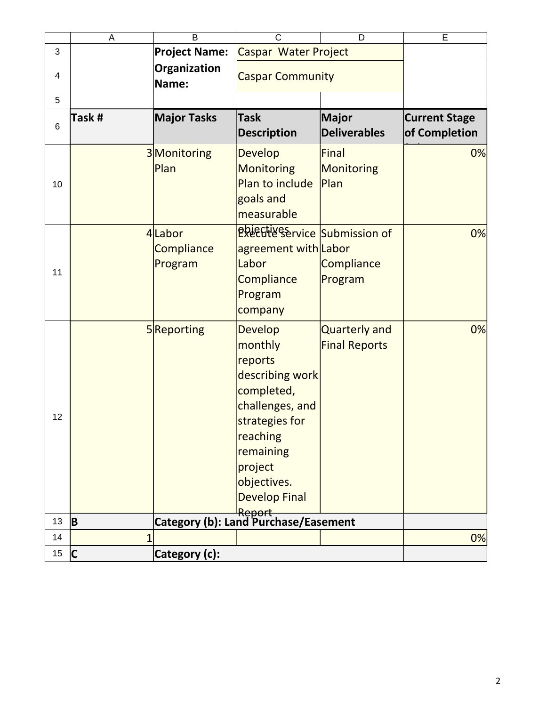|    | A              | B                               | $\mathsf{C}$                                                                                                                                                                                    | D                                            | E                                     |
|----|----------------|---------------------------------|-------------------------------------------------------------------------------------------------------------------------------------------------------------------------------------------------|----------------------------------------------|---------------------------------------|
| 3  |                | <b>Project Name:</b>            | Caspar Water Project                                                                                                                                                                            |                                              |                                       |
| 4  |                | Organization<br>Name:           |                                                                                                                                                                                                 | <b>Caspar Community</b>                      |                                       |
| 5  |                |                                 |                                                                                                                                                                                                 |                                              |                                       |
| 6  | Task #         | <b>Major Tasks</b>              | <b>Task</b><br><b>Description</b>                                                                                                                                                               | <b>Major</b><br><b>Deliverables</b>          | <b>Current Stage</b><br>of Completion |
| 10 |                | 3Monitoring<br>Plan             | <b>Develop</b><br><b>Monitoring</b><br>Plan to include<br>goals and<br>measurable                                                                                                               | <b>Final</b><br><b>Monitoring</b><br>Plan    | 0%                                    |
| 11 |                | 4Labor<br>Compliance<br>Program | Pretries Service Submission of<br>agreement with Labor<br>Labor<br>Compliance<br>Program<br>company                                                                                             | Compliance<br>Program                        | 0%                                    |
| 12 |                | 5Reporting                      | <b>Develop</b><br>monthly<br>reports<br>describing work<br>completed,<br>challenges, and<br>strategies for<br>reaching<br>remaining<br>project<br>objectives.<br><b>Develop Final</b><br>Report | <b>Quarterly and</b><br><b>Final Reports</b> | 0%                                    |
| 13 | <b>B</b>       |                                 | Category (b): Land Purchase/Easement                                                                                                                                                            |                                              |                                       |
| 14 | $\overline{1}$ |                                 |                                                                                                                                                                                                 |                                              | 0%                                    |
| 15 | $\mathsf{C}$   | Category (c):                   |                                                                                                                                                                                                 |                                              |                                       |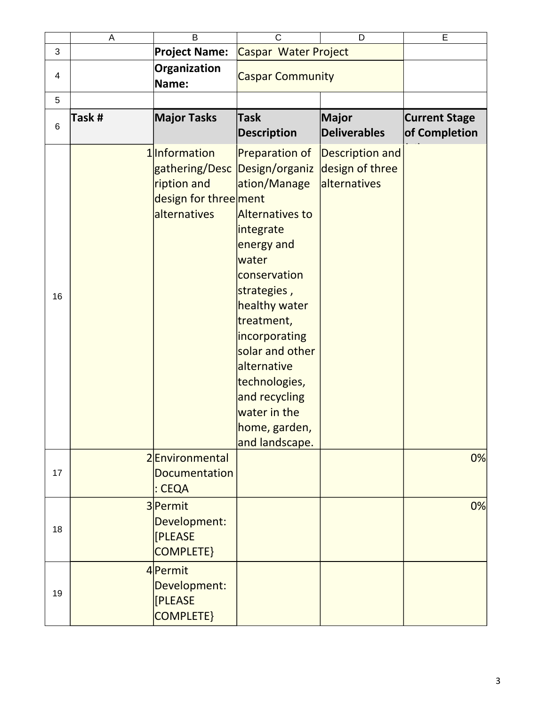|    | A     | B                                                                                       | $\mathsf{C}$                                                                                                                                                                                                                                                                                                   | D                                                         | E                                     |
|----|-------|-----------------------------------------------------------------------------------------|----------------------------------------------------------------------------------------------------------------------------------------------------------------------------------------------------------------------------------------------------------------------------------------------------------------|-----------------------------------------------------------|---------------------------------------|
| 3  |       | <b>Project Name:</b>                                                                    | Caspar Water Project                                                                                                                                                                                                                                                                                           |                                                           |                                       |
| 4  |       | Organization<br>Name:                                                                   | <b>Caspar Community</b>                                                                                                                                                                                                                                                                                        |                                                           |                                       |
| 5  |       |                                                                                         |                                                                                                                                                                                                                                                                                                                |                                                           |                                       |
| 6  | Task# | <b>Major Tasks</b>                                                                      | <b>Task</b><br><b>Description</b>                                                                                                                                                                                                                                                                              | <b>Major</b><br><b>Deliverables</b>                       | <b>Current Stage</b><br>of Completion |
| 16 |       | 1 Information<br>gathering/Desc<br>ription and<br>design for three ment<br>alternatives | Preparation of<br>Design/organiz<br>ation/Manage<br>Alternatives to<br>integrate<br>energy and<br>water<br>conservation<br>strategies,<br>healthy water<br>treatment,<br>incorporating<br>solar and other<br>alternative<br>technologies,<br>and recycling<br>water in the<br> home, garden,<br>and landscape. | <b>Description and</b><br>design of three<br>alternatives |                                       |
| 17 |       | 2Environmental<br><b>Documentation</b><br>: CEQA                                        |                                                                                                                                                                                                                                                                                                                |                                                           | 0%                                    |
| 18 |       | 3 Permit<br>Development:<br>[PLEASE<br><b>COMPLETE}</b>                                 |                                                                                                                                                                                                                                                                                                                |                                                           | 0%                                    |
| 19 |       | 4Permit<br>Development:<br>[PLEASE<br><b>COMPLETE}</b>                                  |                                                                                                                                                                                                                                                                                                                |                                                           |                                       |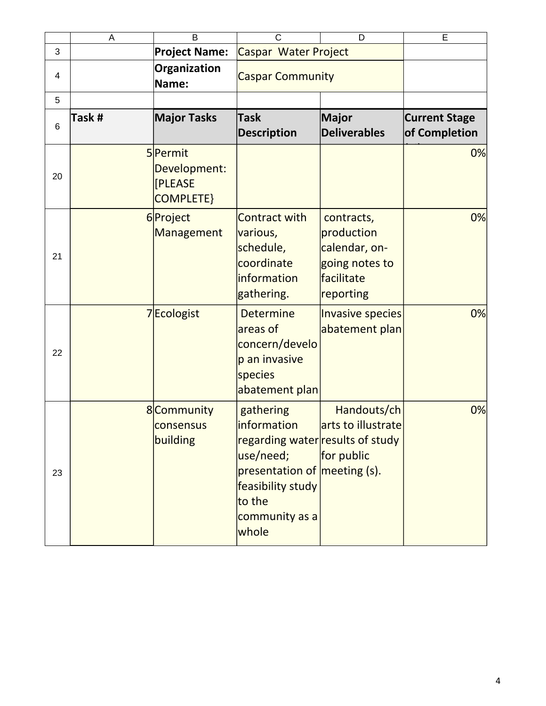|    | A      | B                                               | $\mathsf{C}$                                                                                                                                                        | D                                                                                      | E                                     |
|----|--------|-------------------------------------------------|---------------------------------------------------------------------------------------------------------------------------------------------------------------------|----------------------------------------------------------------------------------------|---------------------------------------|
| 3  |        | <b>Project Name:</b>                            | Caspar Water Project                                                                                                                                                |                                                                                        |                                       |
| 4  |        | Organization<br>Name:                           | <b>Caspar Community</b>                                                                                                                                             |                                                                                        |                                       |
| 5  |        |                                                 |                                                                                                                                                                     |                                                                                        |                                       |
| 6  | Task # | <b>Major Tasks</b>                              | <b>Task</b><br><b>Description</b>                                                                                                                                   | Major<br><b>Deliverables</b>                                                           | <b>Current Stage</b><br>of Completion |
| 20 |        | 5Permit<br>Development:<br>[PLEASE<br>COMPLETE} |                                                                                                                                                                     |                                                                                        | 0%                                    |
| 21 |        | 6Project<br>Management                          | <b>Contract with</b><br>various,<br>schedule,<br>coordinate<br>information<br>gathering.                                                                            | contracts,<br>production<br>calendar, on-<br>going notes to<br>facilitate<br>reporting | 0%                                    |
| 22 |        | 7Ecologist                                      | <b>Determine</b><br>areas of<br>concern/develo<br>p an invasive<br>species<br>abatement plan                                                                        | <b>Invasive species</b><br>abatement plan                                              | 0%                                    |
| 23 |        | 8 Community<br>consensus<br>building            | gathering<br>information<br>regarding water results of study<br>use/need;<br>presentation of meeting (s).<br>feasibility study<br>to the<br>community as a<br>whole | Handouts/ch<br>arts to illustrate<br>for public                                        | 0%                                    |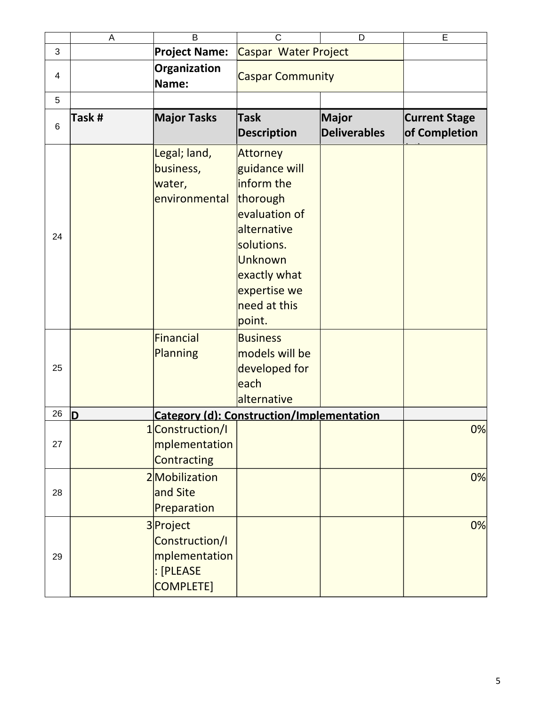|    | A     | B                                                                             | $\mathsf{C}$                                                                                                                                                                  | D                                   | E                                     |
|----|-------|-------------------------------------------------------------------------------|-------------------------------------------------------------------------------------------------------------------------------------------------------------------------------|-------------------------------------|---------------------------------------|
| 3  |       | <b>Project Name:</b>                                                          | Caspar Water Project                                                                                                                                                          |                                     |                                       |
| 4  |       | Organization<br>Name:                                                         | <b>Caspar Community</b>                                                                                                                                                       |                                     |                                       |
| 5  |       |                                                                               |                                                                                                                                                                               |                                     |                                       |
| 6  | Task# | <b>Major Tasks</b>                                                            | <b>Task</b><br><b>Description</b>                                                                                                                                             | <b>Major</b><br><b>Deliverables</b> | <b>Current Stage</b><br>of Completion |
| 24 |       | Legal; land,<br>business,<br>water,<br>environmental                          | <b>Attorney</b><br>guidance will<br>inform the<br>thorough<br>evaluation of<br>alternative<br>solutions.<br>Unknown<br>exactly what<br>expertise we<br>need at this<br>point. |                                     |                                       |
| 25 |       | Financial<br>Planning                                                         | <b>Business</b><br>models will be<br>developed for<br>each<br>alternative                                                                                                     |                                     |                                       |
| 26 | D     |                                                                               | <b>Category (d): Construction/Implementation</b>                                                                                                                              |                                     |                                       |
| 27 |       | 1 Construction/I<br>mplementation<br>Contracting                              |                                                                                                                                                                               |                                     | 0%                                    |
| 28 |       | 2Mobilization<br>and Site<br>Preparation                                      |                                                                                                                                                                               |                                     | 0%                                    |
| 29 |       | 3 Project<br>Construction/I<br>mplementation<br>: [PLEASE<br><b>COMPLETE]</b> |                                                                                                                                                                               |                                     | 0%                                    |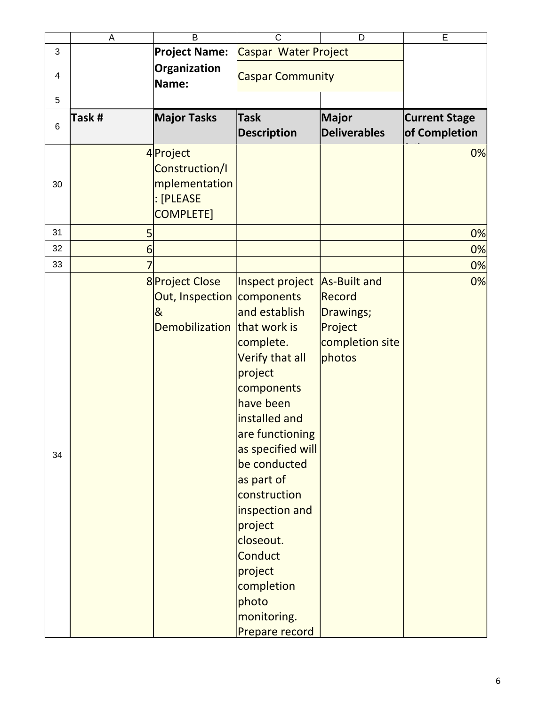|                 | A      | B                                                                                                   | $\mathsf{C}$                                                                                                                                                                                                                                                                                                                                 | D                                                                           | E                                     |
|-----------------|--------|-----------------------------------------------------------------------------------------------------|----------------------------------------------------------------------------------------------------------------------------------------------------------------------------------------------------------------------------------------------------------------------------------------------------------------------------------------------|-----------------------------------------------------------------------------|---------------------------------------|
| 3               |        | <b>Project Name:</b>                                                                                | Caspar Water Project                                                                                                                                                                                                                                                                                                                         |                                                                             |                                       |
| 4               |        | Organization<br>Name:                                                                               | <b>Caspar Community</b>                                                                                                                                                                                                                                                                                                                      |                                                                             |                                       |
| 5               |        |                                                                                                     |                                                                                                                                                                                                                                                                                                                                              |                                                                             |                                       |
| $6\phantom{1}6$ | Task # | <b>Major Tasks</b>                                                                                  | <b>Task</b><br><b>Description</b>                                                                                                                                                                                                                                                                                                            | Major<br><b>Deliverables</b>                                                | <b>Current Stage</b><br>of Completion |
| 30              |        | 4 Project<br>Construction/I<br>mplementation<br>: [PLEASE<br>COMPLETE]                              |                                                                                                                                                                                                                                                                                                                                              |                                                                             | 0%                                    |
| 31              | 5      |                                                                                                     |                                                                                                                                                                                                                                                                                                                                              |                                                                             | 0%                                    |
| 32              | 6      |                                                                                                     |                                                                                                                                                                                                                                                                                                                                              |                                                                             | 0%                                    |
| 33              | 7      |                                                                                                     |                                                                                                                                                                                                                                                                                                                                              |                                                                             | 0%                                    |
| 34              |        | 8 Project Close<br>Out, Inspection components<br>$\overline{\alpha}$<br>Demobilization that work is | Inspect project<br>and establish<br>complete.<br>Verify that all<br>project<br>components<br>have been<br>installed and<br>are functioning<br>as specified will<br>be conducted<br>as part of<br>construction<br>inspection and<br>project<br>closeout.<br><b>Conduct</b><br>project<br>completion<br>photo<br>monitoring.<br>Prepare record | As-Built and<br>Record<br>Drawings;<br>Project<br>completion site<br>photos | 0%                                    |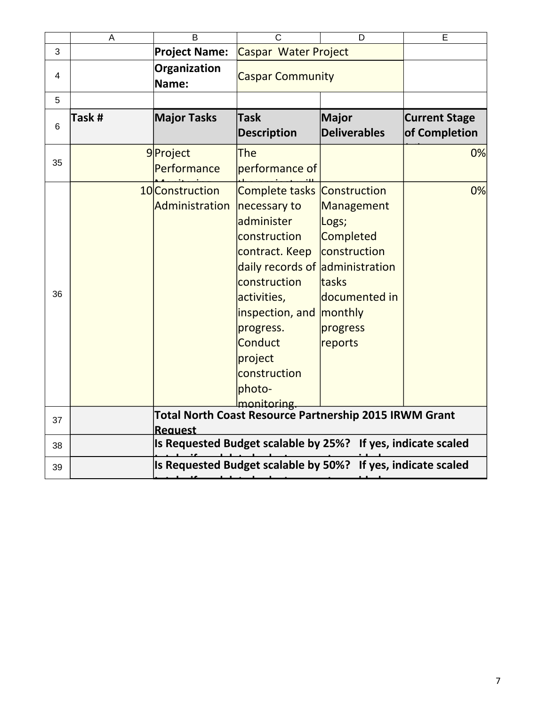|    | A      | B                                                            | C                                                                                                                                                                                                                                                                   | D                                                                                                                   | E                                     |  |  |
|----|--------|--------------------------------------------------------------|---------------------------------------------------------------------------------------------------------------------------------------------------------------------------------------------------------------------------------------------------------------------|---------------------------------------------------------------------------------------------------------------------|---------------------------------------|--|--|
| 3  |        | <b>Project Name:</b>                                         | Caspar Water Project                                                                                                                                                                                                                                                |                                                                                                                     |                                       |  |  |
| 4  |        | Organization<br>Name:                                        | <b>Caspar Community</b>                                                                                                                                                                                                                                             |                                                                                                                     |                                       |  |  |
| 5  |        |                                                              |                                                                                                                                                                                                                                                                     |                                                                                                                     |                                       |  |  |
| 6  | Task # | <b>Major Tasks</b>                                           | <b>Task</b><br><b>Description</b>                                                                                                                                                                                                                                   | <b>Major</b><br><b>Deliverables</b>                                                                                 | <b>Current Stage</b><br>of Completion |  |  |
| 35 |        | 9Project<br>Performance                                      | The<br>performance of                                                                                                                                                                                                                                               |                                                                                                                     | 0%                                    |  |  |
| 36 |        | 10 Construction<br>Administration                            | <b>Complete tasks Construction</b><br>necessary to<br>administer<br>construction<br>contract. Keep<br>daily records of administration<br>construction<br>activities,<br>inspection, and<br>progress.<br>Conduct<br>project<br>construction<br>photo-<br>monitoring. | Management<br>Logs;<br><b>Completed</b><br>construction<br>tasks<br>documented in<br>monthly<br>progress<br>reports | 0%                                    |  |  |
| 37 |        | <b>Reauest</b>                                               | <b>Total North Coast Resource Partnership 2015 IRWM Grant</b>                                                                                                                                                                                                       |                                                                                                                     |                                       |  |  |
| 38 |        | Is Requested Budget scalable by 25%? If yes, indicate scaled |                                                                                                                                                                                                                                                                     |                                                                                                                     |                                       |  |  |
| 39 |        |                                                              | Is Requested Budget scalable by 50%?                                                                                                                                                                                                                                |                                                                                                                     | If yes, indicate scaled               |  |  |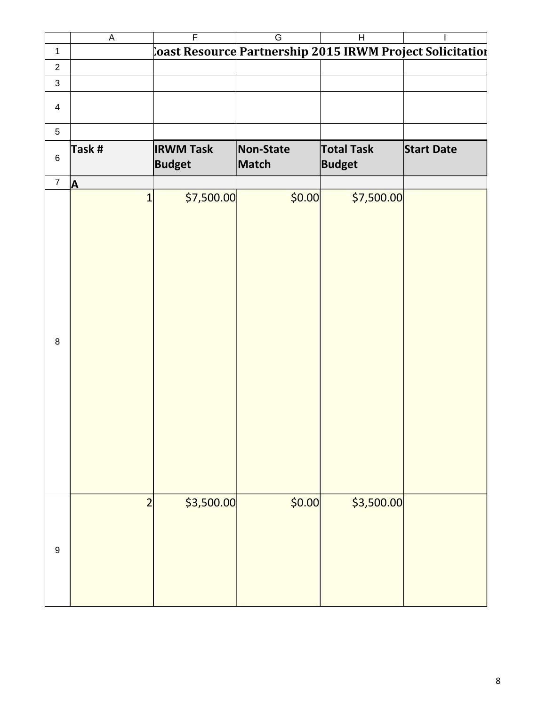|                | $\overline{\mathsf{A}}$ | $\overline{\mathsf{F}}$ | $\overline{G}$                                            | $\overline{H}$    |                   |
|----------------|-------------------------|-------------------------|-----------------------------------------------------------|-------------------|-------------------|
| $\mathbf 1$    |                         |                         | coast Resource Partnership 2015 IRWM Project Solicitation |                   |                   |
| $\overline{c}$ |                         |                         |                                                           |                   |                   |
| 3              |                         |                         |                                                           |                   |                   |
|                |                         |                         |                                                           |                   |                   |
| $\overline{4}$ |                         |                         |                                                           |                   |                   |
|                |                         |                         |                                                           |                   |                   |
| 5              |                         |                         |                                                           |                   |                   |
|                | Task #                  | <b>IRWM Task</b>        | Non-State                                                 | <b>Total Task</b> | <b>Start Date</b> |
| $\,6\,$        |                         | <b>Budget</b>           | Match                                                     | <b>Budget</b>     |                   |
| $\overline{7}$ | $\overline{\mathbf{A}}$ |                         |                                                           |                   |                   |
|                | $\mathbf{1}$            | \$7,500.00              | \$0.00                                                    | \$7,500.00        |                   |
|                |                         |                         |                                                           |                   |                   |
|                |                         |                         |                                                           |                   |                   |
|                |                         |                         |                                                           |                   |                   |
|                |                         |                         |                                                           |                   |                   |
|                |                         |                         |                                                           |                   |                   |
|                |                         |                         |                                                           |                   |                   |
|                |                         |                         |                                                           |                   |                   |
|                |                         |                         |                                                           |                   |                   |
|                |                         |                         |                                                           |                   |                   |
|                |                         |                         |                                                           |                   |                   |
| $\, 8$         |                         |                         |                                                           |                   |                   |
|                |                         |                         |                                                           |                   |                   |
|                |                         |                         |                                                           |                   |                   |
|                |                         |                         |                                                           |                   |                   |
|                |                         |                         |                                                           |                   |                   |
|                |                         |                         |                                                           |                   |                   |
|                |                         |                         |                                                           |                   |                   |
|                |                         |                         |                                                           |                   |                   |
|                |                         |                         |                                                           |                   |                   |
|                |                         |                         |                                                           |                   |                   |
|                |                         |                         |                                                           |                   |                   |
|                | $\overline{2}$          | \$3,500.00              | \$0.00                                                    | \$3,500.00        |                   |
|                |                         |                         |                                                           |                   |                   |
|                |                         |                         |                                                           |                   |                   |
| 9              |                         |                         |                                                           |                   |                   |
|                |                         |                         |                                                           |                   |                   |
|                |                         |                         |                                                           |                   |                   |
|                |                         |                         |                                                           |                   |                   |
|                |                         |                         |                                                           |                   |                   |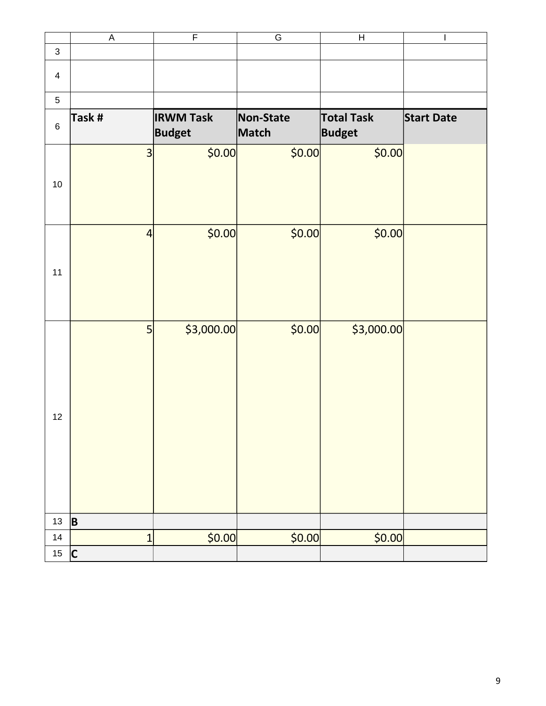|                | $\overline{\mathsf{A}}$ | $\overline{\mathsf{F}}$           | $\overline{\mathsf{G}}$ | $\boldsymbol{\mathsf{H}}$          | I                 |
|----------------|-------------------------|-----------------------------------|-------------------------|------------------------------------|-------------------|
| $\mathsf 3$    |                         |                                   |                         |                                    |                   |
| $\overline{4}$ |                         |                                   |                         |                                    |                   |
| 5              |                         |                                   |                         |                                    |                   |
| $\,6$          | Task #                  | <b>IRWM Task</b><br><b>Budget</b> | Non-State<br>Match      | <b>Total Task</b><br><b>Budget</b> | <b>Start Date</b> |
| 10             | 3                       | \$0.00                            | \$0.00                  | \$0.00                             |                   |
| 11             | $\overline{4}$          | \$0.00                            | \$0.00                  | \$0.00                             |                   |
| 12             | 5                       | \$3,000.00                        | \$0.00                  | \$3,000.00                         |                   |
| 13             | B                       |                                   |                         |                                    |                   |
| $14\,$         | $\overline{1}$          | \$0.00                            | \$0.00                  | \$0.00                             |                   |
| $15\,$         | $\overline{\mathsf{C}}$ |                                   |                         |                                    |                   |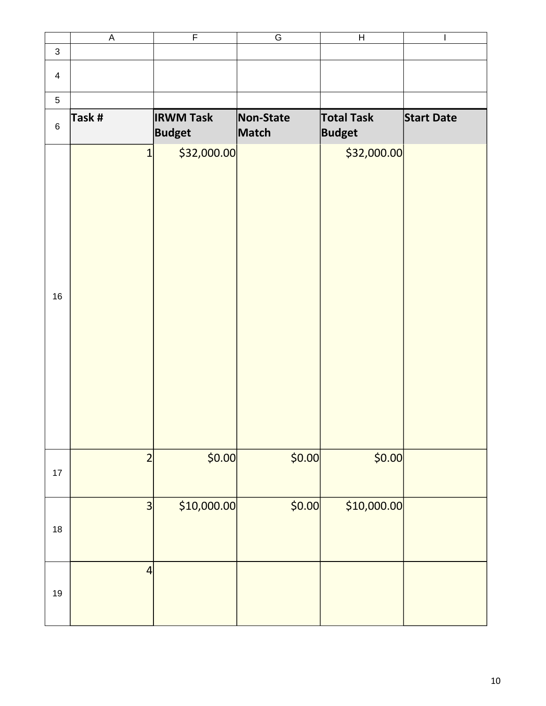|                | $\mathsf A$             | $\overline{\mathsf{F}}$           | G                  | $\boldsymbol{\mathsf{H}}$          | I                 |
|----------------|-------------------------|-----------------------------------|--------------------|------------------------------------|-------------------|
| $\mathsf 3$    |                         |                                   |                    |                                    |                   |
| $\overline{4}$ |                         |                                   |                    |                                    |                   |
| 5              |                         |                                   |                    |                                    |                   |
| $\,6\,$        | Task #                  | <b>IRWM Task</b><br><b>Budget</b> | Non-State<br>Match | <b>Total Task</b><br><b>Budget</b> | <b>Start Date</b> |
| 16             | $\overline{1}$          | \$32,000.00                       |                    | \$32,000.00                        |                   |
| $17\,$         | $\overline{2}$          | \$0.00                            | \$0.00             | \$0.00                             |                   |
| $18\,$         | $\overline{\mathbf{3}}$ | \$10,000.00                       | \$0.00             | \$10,000.00                        |                   |
| $19\,$         | $\overline{4}$          |                                   |                    |                                    |                   |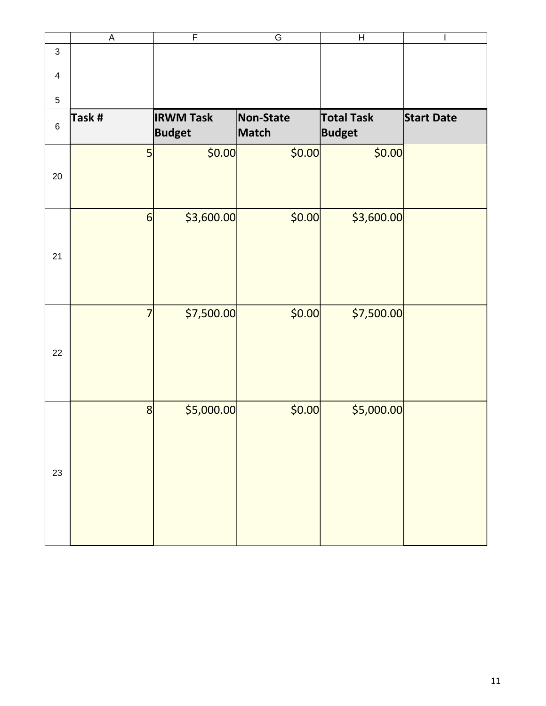|                | $\mathsf A$     | $\overline{\mathsf{F}}$           | $\overline{\mathsf{G}}$ | Н                                  | $\mathsf{l}$      |
|----------------|-----------------|-----------------------------------|-------------------------|------------------------------------|-------------------|
| $\mathsf{3}$   |                 |                                   |                         |                                    |                   |
| $\overline{4}$ |                 |                                   |                         |                                    |                   |
| 5              |                 |                                   |                         |                                    |                   |
| $\,6\,$        | Task #          | <b>IRWM Task</b><br><b>Budget</b> | Non-State<br>Match      | <b>Total Task</b><br><b>Budget</b> | <b>Start Date</b> |
| 20             | 5               | \$0.00                            | \$0.00                  | \$0.00                             |                   |
| 21             | $6\phantom{1}6$ | \$3,600.00                        | \$0.00                  | \$3,600.00                         |                   |
| 22             | $\overline{7}$  | \$7,500.00                        | \$0.00                  | \$7,500.00                         |                   |
| 23             | 8               | \$5,000.00                        | \$0.00                  | \$5,000.00]                        |                   |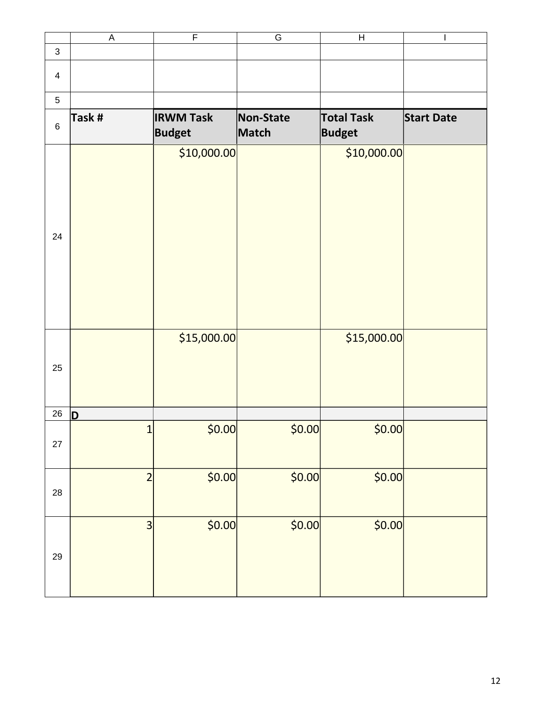|                | $\mathsf A$             | $\mathsf F$                       | ${\mathsf G}$      | $\boldsymbol{\mathsf{H}}$          | I                 |
|----------------|-------------------------|-----------------------------------|--------------------|------------------------------------|-------------------|
| $\mathsf{3}$   |                         |                                   |                    |                                    |                   |
| $\overline{4}$ |                         |                                   |                    |                                    |                   |
| 5              |                         |                                   |                    |                                    |                   |
| $\,6\,$        | Task #                  | <b>IRWM Task</b><br><b>Budget</b> | Non-State<br>Match | <b>Total Task</b><br><b>Budget</b> | <b>Start Date</b> |
| 24             |                         | \$10,000.00                       |                    | \$10,000.00                        |                   |
| 25             |                         | \$15,000.00                       |                    | \$15,000.00                        |                   |
| 26             | D                       |                                   |                    |                                    |                   |
| 27             | $\mathbf{1}$            | \$0.00]                           | \$0.00             | \$0.00                             |                   |
| 28             | $\overline{2}$          | \$0.00                            | \$0.00             | \$0.00                             |                   |
| 29             | $\overline{\mathbf{3}}$ | \$0.00                            | \$0.00             | \$0.00                             |                   |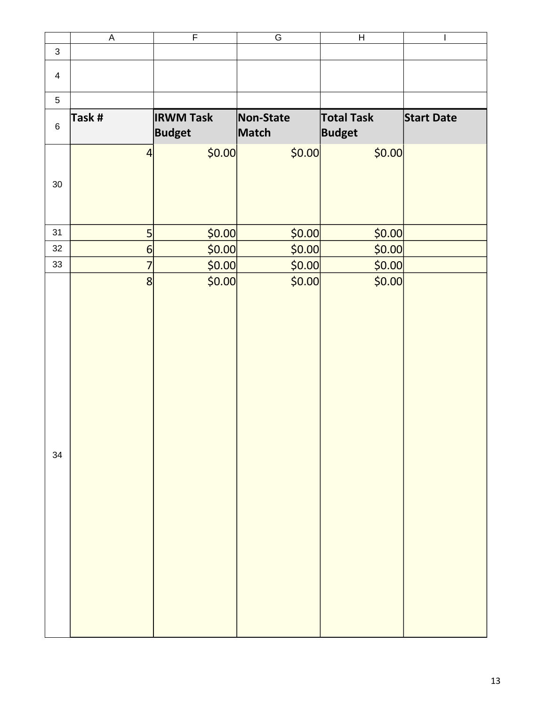|                | $\overline{\mathsf{A}}$ | $\overline{\mathsf{F}}$           | $\overline{\mathsf{G}}$ | $\boldsymbol{\mathsf{H}}$          | $\overline{\phantom{a}}$ |
|----------------|-------------------------|-----------------------------------|-------------------------|------------------------------------|--------------------------|
| $\mathsf 3$    |                         |                                   |                         |                                    |                          |
| $\overline{4}$ |                         |                                   |                         |                                    |                          |
| 5              |                         |                                   |                         |                                    |                          |
| $\,6\,$        | Task #                  | <b>IRWM Task</b><br><b>Budget</b> | Non-State<br>Match      | <b>Total Task</b><br><b>Budget</b> | <b>Start Date</b>        |
| 30             | $\overline{4}$          | \$0.00                            | \$0.00                  | \$0.00                             |                          |
| 31             | 5                       | \$0.00                            | \$0.00                  | \$0.00                             |                          |
| 32             | $6\phantom{1}6$         | \$0.00                            | \$0.00                  | \$0.00                             |                          |
| 33             | $\overline{7}$          | \$0.00]                           | \$0.00                  | \$0.00                             |                          |
| 34             | 8                       | \$0.00                            | \$0.00                  | \$0.00                             |                          |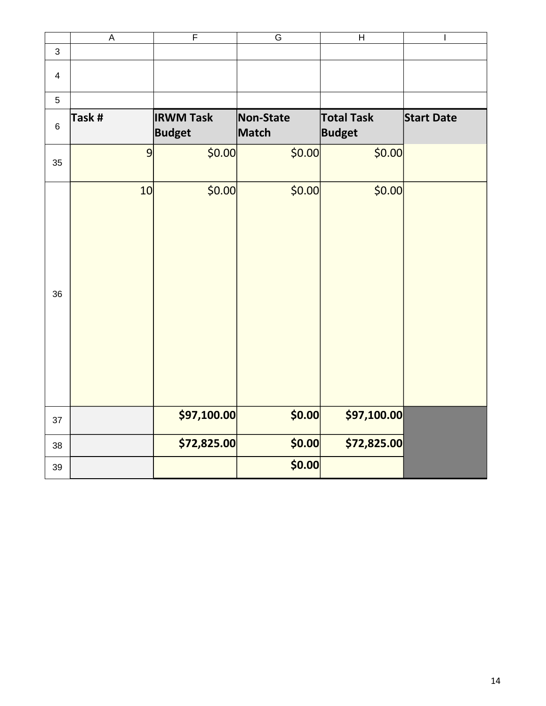|                          | $\sf A$ | $\overline{F}$                    | $\overline{\mathsf{G}}$ | $\boldsymbol{\mathsf{H}}$          | $\overline{\phantom{a}}$ |
|--------------------------|---------|-----------------------------------|-------------------------|------------------------------------|--------------------------|
| 3                        |         |                                   |                         |                                    |                          |
| $\overline{\mathcal{A}}$ |         |                                   |                         |                                    |                          |
| 5                        |         |                                   |                         |                                    |                          |
| $\,6$                    | Task #  | <b>IRWM Task</b><br><b>Budget</b> | Non-State<br>Match      | <b>Total Task</b><br><b>Budget</b> | <b>Start Date</b>        |
| 35                       | 9       | \$0.00                            | \$0.00                  | \$0.00                             |                          |
| 36                       | 10      | \$0.00                            | \$0.00                  | \$0.00                             |                          |
| 37                       |         | \$97,100.00                       | \$0.00                  | \$97,100.00                        |                          |
| 38                       |         | \$72,825.00                       | \$0.00                  | \$72,825.00                        |                          |
| 39                       |         |                                   | \$0.00                  |                                    |                          |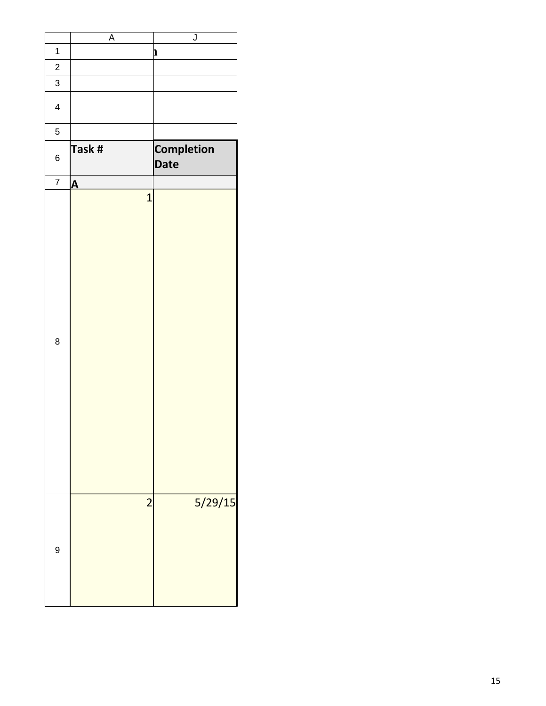| $\overline{\mathsf{J}}$<br>$\overline{A}$ |                         |                  |
|-------------------------------------------|-------------------------|------------------|
| $\mathbf{r}$                              |                         | $\mathbf 1$      |
|                                           |                         | $\overline{c}$   |
|                                           |                         | $\mathbf{3}$     |
|                                           |                         |                  |
|                                           |                         | $\overline{4}$   |
|                                           |                         | $\overline{5}$   |
|                                           |                         |                  |
| <b>Completion</b>                         | Task #                  | $\,6\,$          |
| Date                                      |                         |                  |
|                                           | $\overline{\mathbf{A}}$ | $\overline{7}$   |
| $\mathbf{1}$                              |                         |                  |
|                                           |                         |                  |
|                                           |                         |                  |
|                                           |                         |                  |
|                                           |                         |                  |
|                                           |                         |                  |
|                                           |                         |                  |
|                                           |                         |                  |
|                                           |                         |                  |
|                                           |                         |                  |
|                                           |                         |                  |
|                                           |                         | $\, 8$           |
|                                           |                         |                  |
|                                           |                         |                  |
|                                           |                         |                  |
|                                           |                         |                  |
|                                           |                         |                  |
|                                           |                         |                  |
|                                           |                         |                  |
|                                           |                         |                  |
|                                           |                         |                  |
|                                           |                         |                  |
| 5/29/15<br>$\overline{2}$                 |                         |                  |
|                                           |                         |                  |
|                                           |                         |                  |
|                                           |                         |                  |
|                                           |                         | $\boldsymbol{9}$ |
|                                           |                         |                  |
|                                           |                         |                  |
|                                           |                         |                  |
|                                           |                         |                  |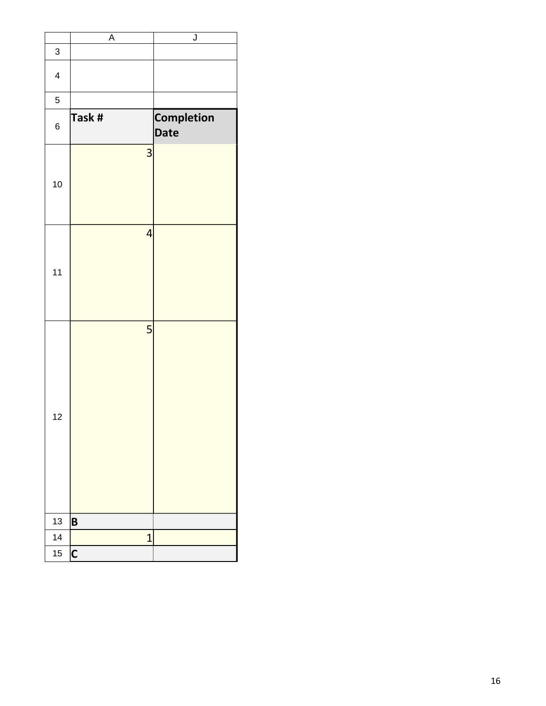|                          | A                       | $\overline{\mathsf{J}}$          |
|--------------------------|-------------------------|----------------------------------|
| 3                        |                         |                                  |
| $\overline{\mathcal{L}}$ |                         |                                  |
| 5                        |                         |                                  |
| 6                        | Task #                  | <b>Completion</b><br><b>Date</b> |
| 10                       | 3                       |                                  |
| 11                       | $\overline{4}$          |                                  |
| 12                       | 5                       |                                  |
| 13                       | B                       |                                  |
| 14                       | $\overline{1}$          |                                  |
| 15                       | $\overline{\mathsf{C}}$ |                                  |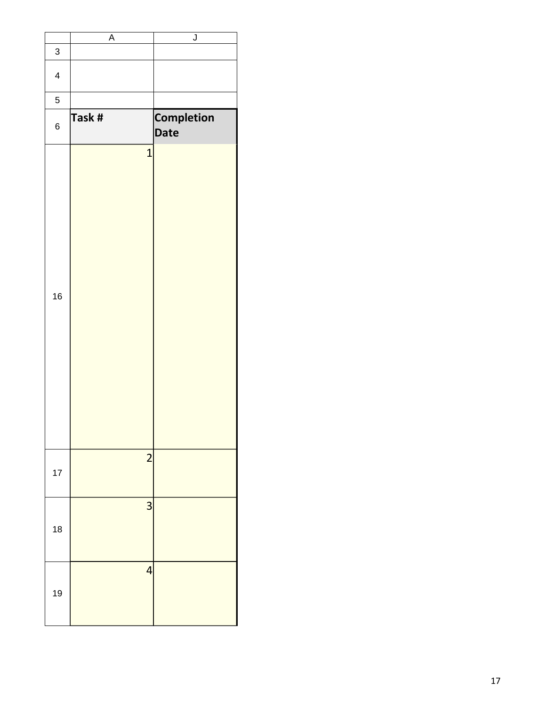|                         | A                        | $\overline{\mathsf{J}}$   |
|-------------------------|--------------------------|---------------------------|
| 3                       |                          |                           |
| $\overline{\mathbf{4}}$ |                          |                           |
| 5                       |                          |                           |
| 6                       | Task #                   | <b>Completion</b><br>Date |
| 16                      | $\mathbf{1}$             |                           |
| 17                      | $\overline{c}$           |                           |
| 18                      | $\overline{\mathbf{3}}$  |                           |
| 19                      | $\overline{\mathcal{L}}$ |                           |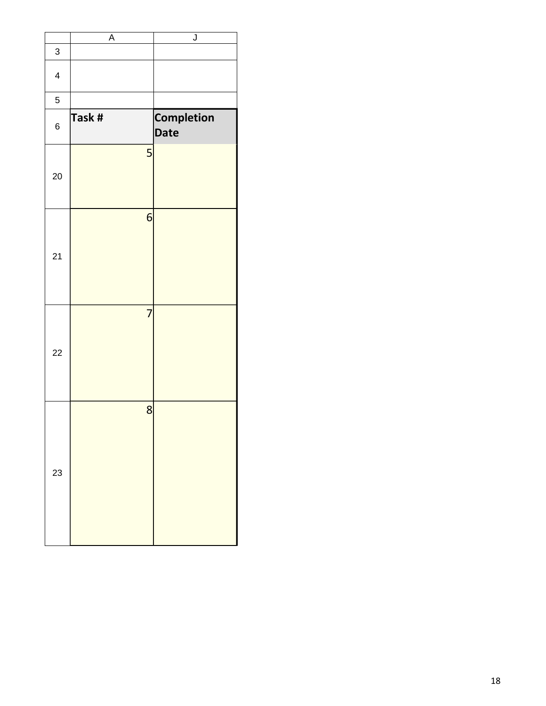|                          | A              | $\overline{\mathsf{J}}$          |
|--------------------------|----------------|----------------------------------|
| 3                        |                |                                  |
| $\overline{\mathcal{A}}$ |                |                                  |
| 5                        |                |                                  |
| 6                        | Task #         | <b>Completion</b><br><b>Date</b> |
| 20                       | 5              |                                  |
| 21                       | 6              |                                  |
| 22                       | $\overline{7}$ |                                  |
| 23                       | 8              |                                  |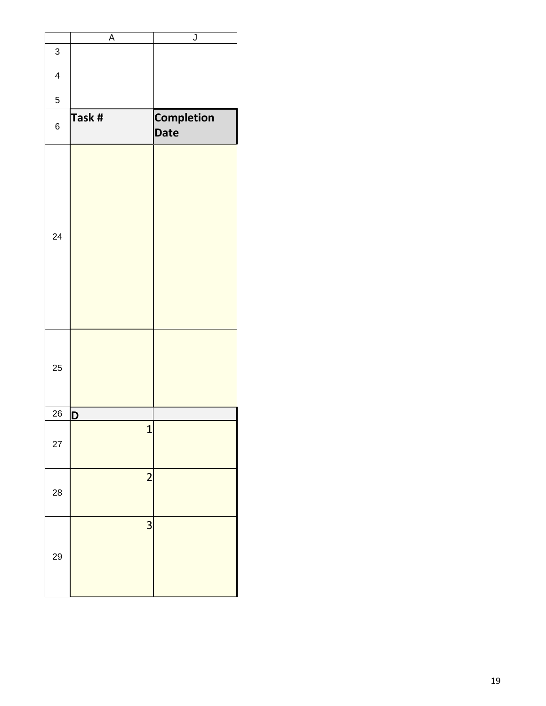|                          | A              | J                         |
|--------------------------|----------------|---------------------------|
| 3                        |                |                           |
| $\overline{\mathcal{L}}$ |                |                           |
| 5                        |                |                           |
| 6                        | Task #         | <b>Completion</b><br>Date |
| 24                       |                |                           |
| 25                       |                |                           |
| 26                       | D              |                           |
| 27                       | $\overline{1}$ |                           |
| 28                       | $\overline{c}$ |                           |
| 29                       | 3              |                           |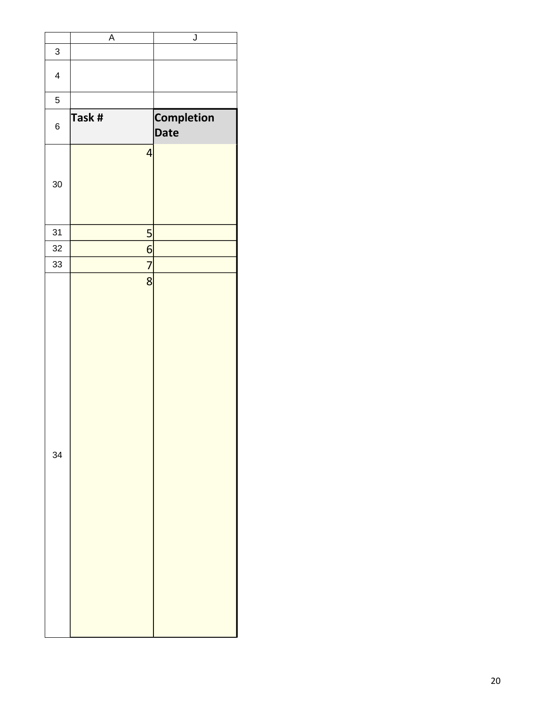|                          | $\overline{\mathsf{A}}$  | $\overline{\mathsf{J}}$   |
|--------------------------|--------------------------|---------------------------|
| 3                        |                          |                           |
| $\overline{\mathcal{A}}$ |                          |                           |
| 5                        |                          |                           |
| $\,6$                    | Task #                   | <b>Completion</b><br>Date |
| 30                       | $\overline{\mathcal{A}}$ |                           |
| 31                       | 5                        |                           |
| 32                       | $\overline{6}$           |                           |
| 33                       | $\overline{7}$           |                           |
| 34                       | 8                        |                           |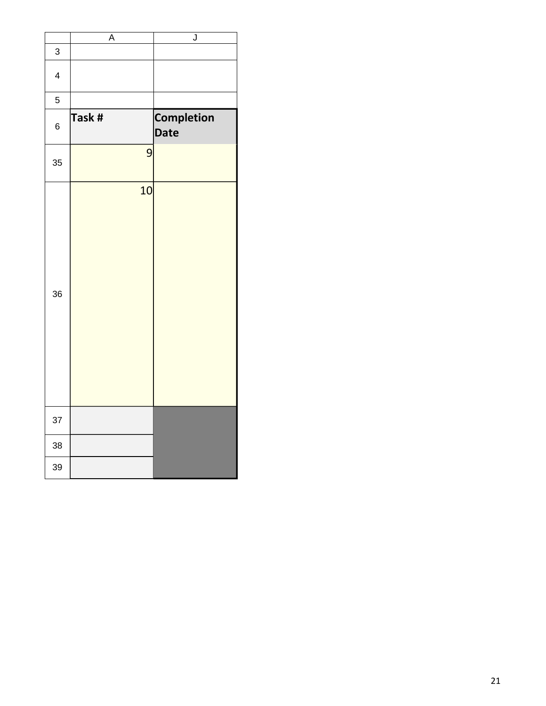|                         | A      | $\overline{\mathsf{J}}$ |
|-------------------------|--------|-------------------------|
| 3                       |        |                         |
| $\overline{\mathbf{4}}$ |        |                         |
| 5                       |        |                         |
| 6                       | Task # | Completion<br>Date      |
| 35                      | 9      |                         |
| 36                      | 10     |                         |
| 37                      |        |                         |
| 38                      |        |                         |
| 39                      |        |                         |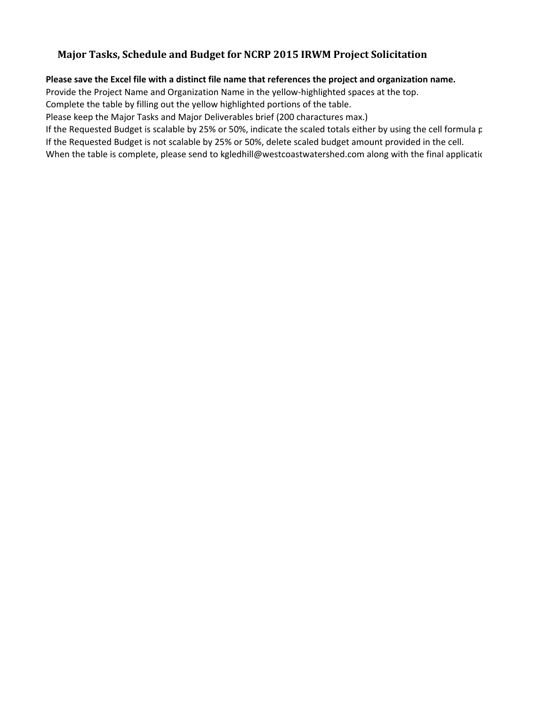## **Major Tasks, Schedule and Budget for NCRP 2015 IRWM Project Solicitation**

## **Please save the Excel file with a distinct file name that references the project and organization name.**

Provide the Project Name and Organization Name in the yellow-highlighted spaces at the top.

Complete the table by filling out the yellow highlighted portions of the table.

Please keep the Major Tasks and Major Deliverables brief (200 charactures max.)

If the Requested Budget is scalable by 25% or 50%, indicate the scaled totals either by using the cell formula p If the Requested Budget is not scalable by 25% or 50%, delete scaled budget amount provided in the cell.

When the table is complete, please send to kgledhill@westcoastwatershed.com along with the final applicatic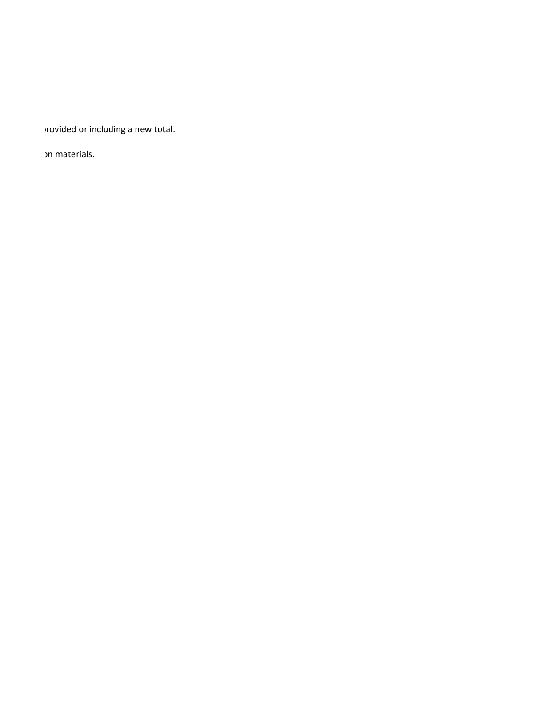If the Budget or including a new total.

או materials.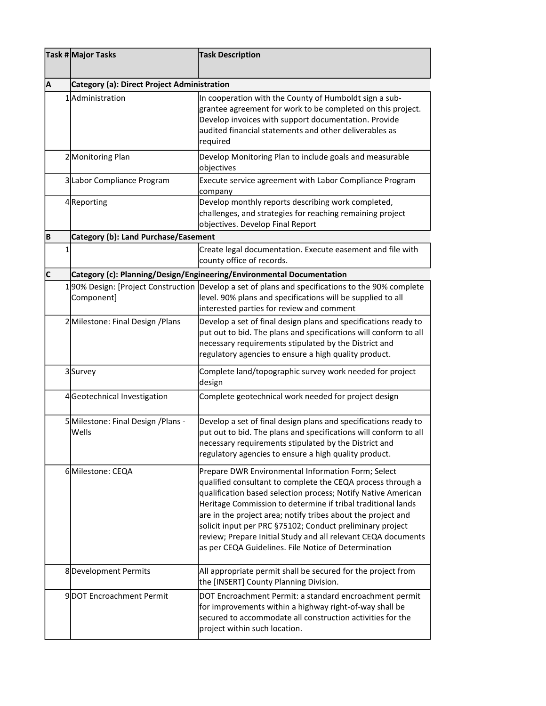|   | Task # Major Tasks                                 | <b>Task Description</b>                                                                                                                                                                                                                                                                                                                                                                                                                                                                                  |
|---|----------------------------------------------------|----------------------------------------------------------------------------------------------------------------------------------------------------------------------------------------------------------------------------------------------------------------------------------------------------------------------------------------------------------------------------------------------------------------------------------------------------------------------------------------------------------|
| A | <b>Category (a): Direct Project Administration</b> |                                                                                                                                                                                                                                                                                                                                                                                                                                                                                                          |
|   | 1 Administration                                   | In cooperation with the County of Humboldt sign a sub-<br>grantee agreement for work to be completed on this project.<br>Develop invoices with support documentation. Provide<br>audited financial statements and other deliverables as<br>required                                                                                                                                                                                                                                                      |
|   | 2 Monitoring Plan                                  | Develop Monitoring Plan to include goals and measurable<br>objectives                                                                                                                                                                                                                                                                                                                                                                                                                                    |
|   | 3 Labor Compliance Program                         | Execute service agreement with Labor Compliance Program<br>company                                                                                                                                                                                                                                                                                                                                                                                                                                       |
|   | 4Reporting                                         | Develop monthly reports describing work completed,<br>challenges, and strategies for reaching remaining project<br>objectives. Develop Final Report                                                                                                                                                                                                                                                                                                                                                      |
| B | <b>Category (b): Land Purchase/Easement</b>        |                                                                                                                                                                                                                                                                                                                                                                                                                                                                                                          |
| 1 |                                                    | Create legal documentation. Execute easement and file with<br>county office of records.                                                                                                                                                                                                                                                                                                                                                                                                                  |
| c |                                                    | Category (c): Planning/Design/Engineering/Environmental Documentation                                                                                                                                                                                                                                                                                                                                                                                                                                    |
|   | Component]                                         | 1 90% Design: [Project Construction  Develop a set of plans and specifications to the 90% complete<br>level. 90% plans and specifications will be supplied to all<br>interested parties for review and comment                                                                                                                                                                                                                                                                                           |
|   | 2 Milestone: Final Design / Plans                  | Develop a set of final design plans and specifications ready to<br>put out to bid. The plans and specifications will conform to all<br>necessary requirements stipulated by the District and<br>regulatory agencies to ensure a high quality product.                                                                                                                                                                                                                                                    |
|   | 3Survey                                            | Complete land/topographic survey work needed for project<br>design                                                                                                                                                                                                                                                                                                                                                                                                                                       |
|   | 4Geotechnical Investigation                        | Complete geotechnical work needed for project design                                                                                                                                                                                                                                                                                                                                                                                                                                                     |
|   | 5 Milestone: Final Design / Plans -<br>Wells       | Develop a set of final design plans and specifications ready to<br>put out to bid. The plans and specifications will conform to all<br>necessary requirements stipulated by the District and<br>regulatory agencies to ensure a high quality product.                                                                                                                                                                                                                                                    |
|   | 6Milestone: CEQA                                   | Prepare DWR Environmental Information Form; Select<br>qualified consultant to complete the CEQA process through a<br>qualification based selection process; Notify Native American<br>Heritage Commission to determine if tribal traditional lands<br>are in the project area; notify tribes about the project and<br>solicit input per PRC §75102; Conduct preliminary project<br>review; Prepare Initial Study and all relevant CEQA documents<br>as per CEQA Guidelines. File Notice of Determination |
|   | 8Development Permits                               | All appropriate permit shall be secured for the project from<br>the [INSERT] County Planning Division.                                                                                                                                                                                                                                                                                                                                                                                                   |
|   | 9DOT Encroachment Permit                           | DOT Encroachment Permit: a standard encroachment permit<br>for improvements within a highway right-of-way shall be<br>secured to accommodate all construction activities for the<br>project within such location.                                                                                                                                                                                                                                                                                        |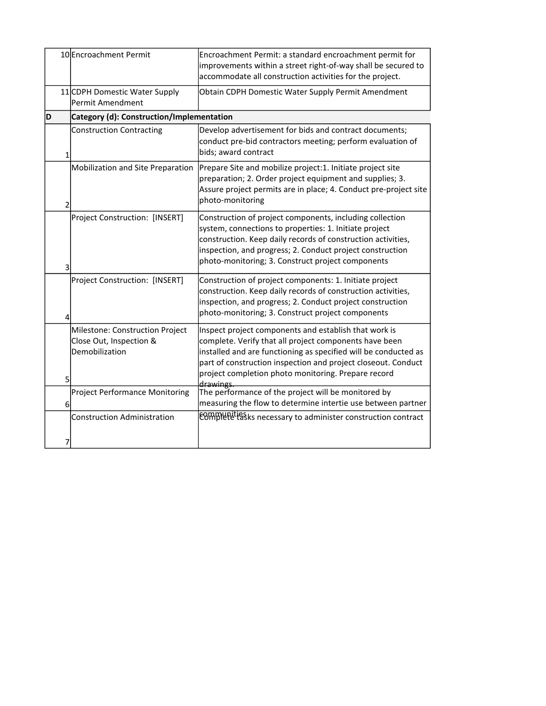|    | 10 Encroachment Permit                                                       | Encroachment Permit: a standard encroachment permit for<br>improvements within a street right-of-way shall be secured to<br>accommodate all construction activities for the project.                                                                                                                                    |
|----|------------------------------------------------------------------------------|-------------------------------------------------------------------------------------------------------------------------------------------------------------------------------------------------------------------------------------------------------------------------------------------------------------------------|
|    | 11 CDPH Domestic Water Supply<br>Permit Amendment                            | Obtain CDPH Domestic Water Supply Permit Amendment                                                                                                                                                                                                                                                                      |
| ID | Category (d): Construction/Implementation                                    |                                                                                                                                                                                                                                                                                                                         |
| 1  | <b>Construction Contracting</b>                                              | Develop advertisement for bids and contract documents;<br>conduct pre-bid contractors meeting; perform evaluation of<br>bids; award contract                                                                                                                                                                            |
| 2  | Mobilization and Site Preparation                                            | Prepare Site and mobilize project:1. Initiate project site<br>preparation; 2. Order project equipment and supplies; 3.<br>Assure project permits are in place; 4. Conduct pre-project site<br>photo-monitoring                                                                                                          |
| 3  | Project Construction: [INSERT]                                               | Construction of project components, including collection<br>system, connections to properties: 1. Initiate project<br>construction. Keep daily records of construction activities,<br>inspection, and progress; 2. Conduct project construction<br>photo-monitoring; 3. Construct project components                    |
| 4  | Project Construction: [INSERT]                                               | Construction of project components: 1. Initiate project<br>construction. Keep daily records of construction activities,<br>inspection, and progress; 2. Conduct project construction<br>photo-monitoring; 3. Construct project components                                                                               |
| 5  | Milestone: Construction Project<br>Close Out, Inspection &<br>Demobilization | Inspect project components and establish that work is<br>complete. Verify that all project components have been<br>installed and are functioning as specified will be conducted as<br>part of construction inspection and project closeout. Conduct<br>project completion photo monitoring. Prepare record<br>drawings. |
| 6  | Project Performance Monitoring                                               | The performance of the project will be monitored by<br>measuring the flow to determine intertie use between partner                                                                                                                                                                                                     |
| 7  | <b>Construction Administration</b>                                           | <b>EOMMUNITIES</b> is necessary to administer construction contract                                                                                                                                                                                                                                                     |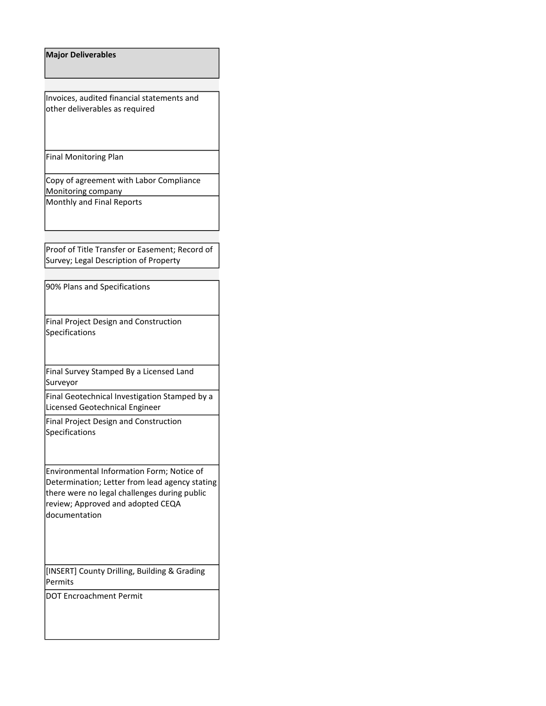| <b>Major Deliverables</b>                                                                                                                                                                         |
|---------------------------------------------------------------------------------------------------------------------------------------------------------------------------------------------------|
|                                                                                                                                                                                                   |
| Invoices, audited financial statements and<br>other deliverables as required                                                                                                                      |
| <b>Final Monitoring Plan</b>                                                                                                                                                                      |
| Copy of agreement with Labor Compliance<br>Monitoring company                                                                                                                                     |
| Monthly and Final Reports                                                                                                                                                                         |
|                                                                                                                                                                                                   |
| Proof of Title Transfer or Easement; Record of<br>Survey; Legal Description of Property                                                                                                           |
| 90% Plans and Specifications                                                                                                                                                                      |
| <b>Final Project Design and Construction</b><br>Specifications                                                                                                                                    |
| Final Survey Stamped By a Licensed Land<br>Surveyor                                                                                                                                               |
| Final Geotechnical Investigation Stamped by a<br>Licensed Geotechnical Engineer                                                                                                                   |
| Final Project Design and Construction<br>Specifications                                                                                                                                           |
| Environmental Information Form; Notice of<br>Determination; Letter from lead agency stating<br>there were no legal challenges during public<br>review; Approved and adopted CEQA<br>documentation |
| [INSERT] County Drilling, Building & Grading<br>Permits                                                                                                                                           |
| <b>DOT Encroachment Permit</b>                                                                                                                                                                    |
|                                                                                                                                                                                                   |